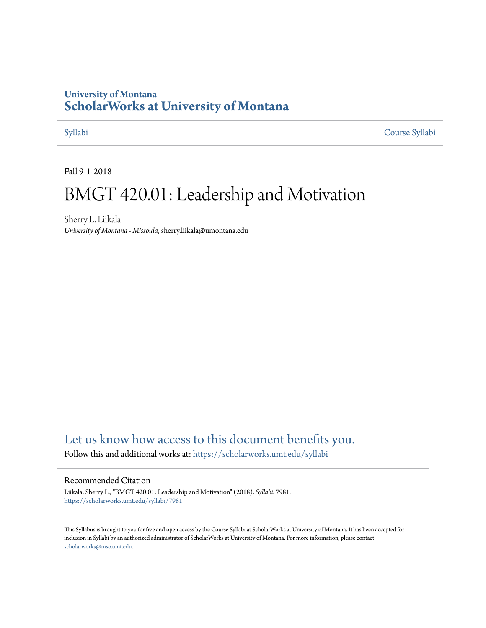## **University of Montana [ScholarWorks at University of Montana](https://scholarworks.umt.edu?utm_source=scholarworks.umt.edu%2Fsyllabi%2F7981&utm_medium=PDF&utm_campaign=PDFCoverPages)**

[Syllabi](https://scholarworks.umt.edu/syllabi?utm_source=scholarworks.umt.edu%2Fsyllabi%2F7981&utm_medium=PDF&utm_campaign=PDFCoverPages) [Course Syllabi](https://scholarworks.umt.edu/course_syllabi?utm_source=scholarworks.umt.edu%2Fsyllabi%2F7981&utm_medium=PDF&utm_campaign=PDFCoverPages)

Fall 9-1-2018

# BMGT 420.01: Leadership and Motivation

Sherry L. Liikala *University of Montana - Missoula*, sherry.liikala@umontana.edu

# [Let us know how access to this document benefits you.](https://goo.gl/forms/s2rGfXOLzz71qgsB2)

Follow this and additional works at: [https://scholarworks.umt.edu/syllabi](https://scholarworks.umt.edu/syllabi?utm_source=scholarworks.umt.edu%2Fsyllabi%2F7981&utm_medium=PDF&utm_campaign=PDFCoverPages)

#### Recommended Citation

Liikala, Sherry L., "BMGT 420.01: Leadership and Motivation" (2018). *Syllabi*. 7981. [https://scholarworks.umt.edu/syllabi/7981](https://scholarworks.umt.edu/syllabi/7981?utm_source=scholarworks.umt.edu%2Fsyllabi%2F7981&utm_medium=PDF&utm_campaign=PDFCoverPages)

This Syllabus is brought to you for free and open access by the Course Syllabi at ScholarWorks at University of Montana. It has been accepted for inclusion in Syllabi by an authorized administrator of ScholarWorks at University of Montana. For more information, please contact [scholarworks@mso.umt.edu](mailto:scholarworks@mso.umt.edu).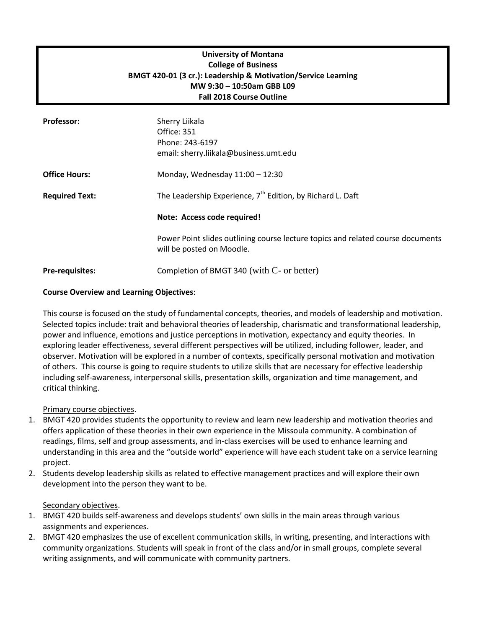### **University of Montana College of Business BMGT 420-01 (3 cr.): Leadership & Motivation/Service Learning MW 9:30 – 10:50am GBB L09 Fall 2018 Course Outline**

| <b>Professor:</b>      | Sherry Liikala<br>Office: 351<br>Phone: 243-6197<br>email: sherry.liikala@business.umt.edu                   |
|------------------------|--------------------------------------------------------------------------------------------------------------|
| <b>Office Hours:</b>   | Monday, Wednesday $11:00 - 12:30$                                                                            |
| <b>Required Text:</b>  | The Leadership Experience, 7 <sup>th</sup> Edition, by Richard L. Daft                                       |
|                        | Note: Access code required!                                                                                  |
|                        | Power Point slides outlining course lecture topics and related course documents<br>will be posted on Moodle. |
| <b>Pre-requisites:</b> | Completion of BMGT 340 (with C- or better)                                                                   |

#### **Course Overview and Learning Objectives**:

This course is focused on the study of fundamental concepts, theories, and models of leadership and motivation. Selected topics include: trait and behavioral theories of leadership, charismatic and transformational leadership, power and influence, emotions and justice perceptions in motivation, expectancy and equity theories. In exploring leader effectiveness, several different perspectives will be utilized, including follower, leader, and observer. Motivation will be explored in a number of contexts, specifically personal motivation and motivation of others. This course is going to require students to utilize skills that are necessary for effective leadership including self-awareness, interpersonal skills, presentation skills, organization and time management, and critical thinking.

#### Primary course objectives.

- 1. BMGT 420 provides students the opportunity to review and learn new leadership and motivation theories and offers application of these theories in their own experience in the Missoula community. A combination of readings, films, self and group assessments, and in-class exercises will be used to enhance learning and understanding in this area and the "outside world" experience will have each student take on a service learning project.
- 2. Students develop leadership skills as related to effective management practices and will explore their own development into the person they want to be.

#### Secondary objectives.

- 1. BMGT 420 builds self-awareness and develops students' own skills in the main areas through various assignments and experiences.
- 2. BMGT 420 emphasizes the use of excellent communication skills, in writing, presenting, and interactions with community organizations. Students will speak in front of the class and/or in small groups, complete several writing assignments, and will communicate with community partners.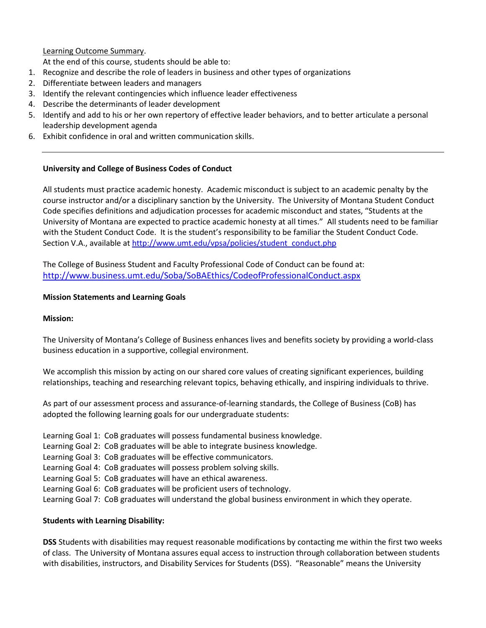Learning Outcome Summary.

At the end of this course, students should be able to:

- 1. Recognize and describe the role of leaders in business and other types of organizations
- 2. Differentiate between leaders and managers
- 3. Identify the relevant contingencies which influence leader effectiveness
- 4. Describe the determinants of leader development
- 5. Identify and add to his or her own repertory of effective leader behaviors, and to better articulate a personal leadership development agenda
- 6. Exhibit confidence in oral and written communication skills.

#### **University and College of Business Codes of Conduct**

All students must practice academic honesty. Academic misconduct is subject to an academic penalty by the course instructor and/or a disciplinary sanction by the University. The University of Montana Student Conduct Code specifies definitions and adjudication processes for academic misconduct and states, "Students at the University of Montana are expected to practice academic honesty at all times." All students need to be familiar with the Student Conduct Code. It is the student's responsibility to be familiar the Student Conduct Code. Section V.A., available at [http://www.umt.edu/vpsa/policies/student\\_conduct.php](http://www.umt.edu/vpsa/policies/student_conduct.php) 

The College of Business Student and Faculty Professional Code of Conduct can be found at: <http://www.business.umt.edu/Soba/SoBAEthics/CodeofProfessionalConduct.aspx>

#### **Mission Statements and Learning Goals**

#### **Mission:**

The University of Montana's College of Business enhances lives and benefits society by providing a world-class business education in a supportive, collegial environment.

We accomplish this mission by acting on our shared core values of creating significant experiences, building relationships, teaching and researching relevant topics, behaving ethically, and inspiring individuals to thrive.

As part of our assessment process and assurance-of-learning standards, the College of Business (CoB) has adopted the following learning goals for our undergraduate students:

- Learning Goal 1: CoB graduates will possess fundamental business knowledge.
- Learning Goal 2: CoB graduates will be able to integrate business knowledge.
- Learning Goal 3: CoB graduates will be effective communicators.
- Learning Goal 4: CoB graduates will possess problem solving skills.
- Learning Goal 5: CoB graduates will have an ethical awareness.
- Learning Goal 6: CoB graduates will be proficient users of technology.
- Learning Goal 7: CoB graduates will understand the global business environment in which they operate.

#### **Students with Learning Disability:**

**DSS** Students with disabilities may request reasonable modifications by contacting me within the first two weeks of class. The University of Montana assures equal access to instruction through collaboration between students with disabilities, instructors, and Disability Services for Students (DSS). "Reasonable" means the University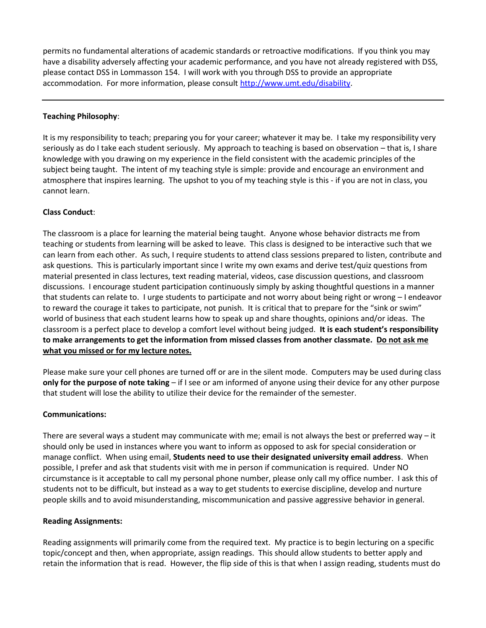permits no fundamental alterations of academic standards or retroactive modifications. If you think you may have a disability adversely affecting your academic performance, and you have not already registered with DSS, please contact DSS in Lommasson 154. I will work with you through DSS to provide an appropriate accommodation. For more information, please consul[t http://www.umt.edu/disability.](http://www.umt.edu/disability)

#### **Teaching Philosophy**:

It is my responsibility to teach; preparing you for your career; whatever it may be. I take my responsibility very seriously as do I take each student seriously. My approach to teaching is based on observation – that is, I share knowledge with you drawing on my experience in the field consistent with the academic principles of the subject being taught. The intent of my teaching style is simple: provide and encourage an environment and atmosphere that inspires learning. The upshot to you of my teaching style is this - if you are not in class, you cannot learn.

#### **Class Conduct**:

The classroom is a place for learning the material being taught. Anyone whose behavior distracts me from teaching or students from learning will be asked to leave. This class is designed to be interactive such that we can learn from each other. As such, I require students to attend class sessions prepared to listen, contribute and ask questions. This is particularly important since I write my own exams and derive test/quiz questions from material presented in class lectures, text reading material, videos, case discussion questions, and classroom discussions. I encourage student participation continuously simply by asking thoughtful questions in a manner that students can relate to. I urge students to participate and not worry about being right or wrong – I endeavor to reward the courage it takes to participate, not punish. It is critical that to prepare for the "sink or swim" world of business that each student learns how to speak up and share thoughts, opinions and/or ideas. The classroom is a perfect place to develop a comfort level without being judged. **It is each student's responsibility to make arrangements to get the information from missed classes from another classmate. Do not ask me what you missed or for my lecture notes.** 

Please make sure your cell phones are turned off or are in the silent mode. Computers may be used during class **only for the purpose of note taking** – if I see or am informed of anyone using their device for any other purpose that student will lose the ability to utilize their device for the remainder of the semester.

#### **Communications:**

There are several ways a student may communicate with me; email is not always the best or preferred way – it should only be used in instances where you want to inform as opposed to ask for special consideration or manage conflict. When using email, **Students need to use their designated university email address**. When possible, I prefer and ask that students visit with me in person if communication is required. Under NO circumstance is it acceptable to call my personal phone number, please only call my office number. I ask this of students not to be difficult, but instead as a way to get students to exercise discipline, develop and nurture people skills and to avoid misunderstanding, miscommunication and passive aggressive behavior in general.

#### **Reading Assignments:**

Reading assignments will primarily come from the required text. My practice is to begin lecturing on a specific topic/concept and then, when appropriate, assign readings. This should allow students to better apply and retain the information that is read. However, the flip side of this is that when I assign reading, students must do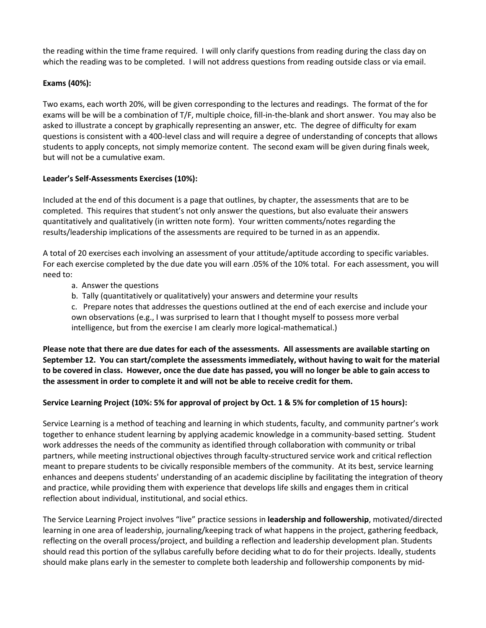the reading within the time frame required. I will only clarify questions from reading during the class day on which the reading was to be completed. I will not address questions from reading outside class or via email.

#### **Exams (40%):**

Two exams, each worth 20%, will be given corresponding to the lectures and readings. The format of the for exams will be will be a combination of T/F, multiple choice, fill-in-the-blank and short answer. You may also be asked to illustrate a concept by graphically representing an answer, etc. The degree of difficulty for exam questions is consistent with a 400-level class and will require a degree of understanding of concepts that allows students to apply concepts, not simply memorize content. The second exam will be given during finals week, but will not be a cumulative exam.

#### **Leader's Self-Assessments Exercises (10%):**

Included at the end of this document is a page that outlines, by chapter, the assessments that are to be completed. This requires that student's not only answer the questions, but also evaluate their answers quantitatively and qualitatively (in written note form). Your written comments/notes regarding the results/leadership implications of the assessments are required to be turned in as an appendix.

A total of 20 exercises each involving an assessment of your attitude/aptitude according to specific variables. For each exercise completed by the due date you will earn .05% of the 10% total. For each assessment, you will need to:

- a. Answer the questions
- b. Tally (quantitatively or qualitatively) your answers and determine your results

c. Prepare notes that addresses the questions outlined at the end of each exercise and include your own observations (e.g., I was surprised to learn that I thought myself to possess more verbal intelligence, but from the exercise I am clearly more logical-mathematical.)

**Please note that there are due dates for each of the assessments. All assessments are available starting on September 12. You can start/complete the assessments immediately, without having to wait for the material to be covered in class. However, once the due date has passed, you will no longer be able to gain access to the assessment in order to complete it and will not be able to receive credit for them.**

#### **Service Learning Project (10%: 5% for approval of project by Oct. 1 & 5% for completion of 15 hours):**

Service Learning is a method of teaching and learning in which students, faculty, and community partner's work together to enhance student learning by applying academic knowledge in a community-based setting. Student work addresses the needs of the community as identified through collaboration with community or tribal partners, while meeting instructional objectives through faculty-structured service work and critical reflection meant to prepare students to be civically responsible members of the community. At its best, service learning enhances and deepens students' understanding of an academic discipline by facilitating the integration of theory and practice, while providing them with experience that develops life skills and engages them in critical reflection about individual, institutional, and social ethics.

The Service Learning Project involves "live" practice sessions in **leadership and followership**, motivated/directed learning in one area of leadership, journaling/keeping track of what happens in the project, gathering feedback, reflecting on the overall process/project, and building a reflection and leadership development plan. Students should read this portion of the syllabus carefully before deciding what to do for their projects. Ideally, students should make plans early in the semester to complete both leadership and followership components by mid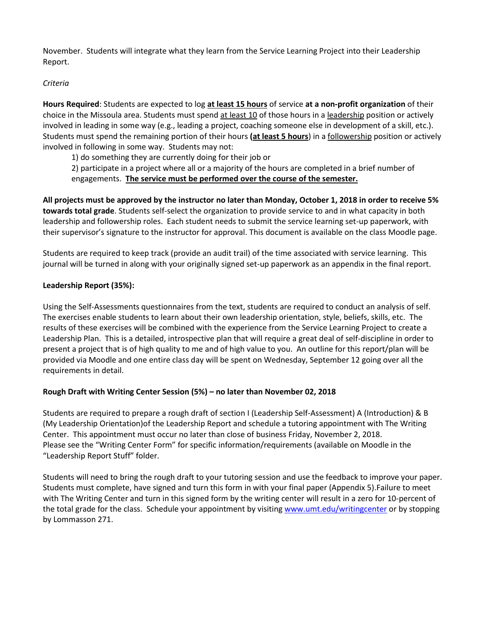November. Students will integrate what they learn from the Service Learning Project into their Leadership Report.

#### *Criteria*

**Hours Required**: Students are expected to log **at least 15 hours** of service **at a non-profit organization** of their choice in the Missoula area. Students must spend at least 10 of those hours in a leadership position or actively involved in leading in some way (e.g., leading a project, coaching someone else in development of a skill, etc.). Students must spend the remaining portion of their hours **(at least 5 hours**) in a followership position or actively involved in following in some way. Students may not:

1) do something they are currently doing for their job or

2) participate in a project where all or a majority of the hours are completed in a brief number of engagements. **The service must be performed over the course of the semester.**

**All projects must be approved by the instructor no later than Monday, October 1, 2018 in order to receive 5% towards total grade**. Students self-select the organization to provide service to and in what capacity in both leadership and followership roles. Each student needs to submit the service learning set-up paperwork, with their supervisor's signature to the instructor for approval. This document is available on the class Moodle page.

Students are required to keep track (provide an audit trail) of the time associated with service learning. This journal will be turned in along with your originally signed set-up paperwork as an appendix in the final report.

#### **Leadership Report (35%):**

Using the Self-Assessments questionnaires from the text, students are required to conduct an analysis of self. The exercises enable students to learn about their own leadership orientation, style, beliefs, skills, etc. The results of these exercises will be combined with the experience from the Service Learning Project to create a Leadership Plan. This is a detailed, introspective plan that will require a great deal of self-discipline in order to present a project that is of high quality to me and of high value to you. An outline for this report/plan will be provided via Moodle and one entire class day will be spent on Wednesday, September 12 going over all the requirements in detail.

#### **Rough Draft with Writing Center Session (5%) – no later than November 02, 2018**

Students are required to prepare a rough draft of section I (Leadership Self-Assessment) A (Introduction) & B (My Leadership Orientation)of the Leadership Report and schedule a tutoring appointment with The Writing Center. This appointment must occur no later than close of business Friday, November 2, 2018. Please see the "Writing Center Form" for specific information/requirements (available on Moodle in the "Leadership Report Stuff" folder.

Students will need to bring the rough draft to your tutoring session and use the feedback to improve your paper. Students must complete, have signed and turn this form in with your final paper (Appendix 5).Failure to meet with The Writing Center and turn in this signed form by the writing center will result in a zero for 10-percent of the total grade for the class. Schedule your appointment by visitin[g www.umt.edu/writingcenter](http://www.umt.edu/writingcenter) or by stopping by Lommasson 271.